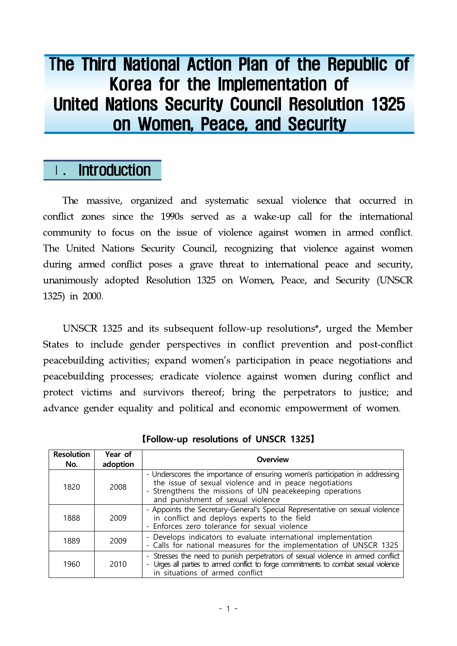# The Third National Action Plan of the Republic of Korea for the Implementation of United Nations Security Council Resolution 1325 on Women, Peace, and Security

## Ⅰ. Introduction

The massive, organized and systematic sexual violence that occurred in conflict zones since the 1990s served as a wake-up call for the international community to focus on the issue of violence against women in armed conflict. The United Nations Security Council, recognizing that violence against women during armed conflict poses a grave threat to international peace and security, unanimously adopted Resolution 1325 on Women, Peace, and Security (UNSCR 1325) in 2000.

UNSCR 1325 and its subsequent follow-up resolutions\*, urged the Member States to include gender perspectives in conflict prevention and post-conflict peacebuilding activities; expand women's participation in peace negotiations and peacebuilding processes; eradicate violence against women during conflict and protect victims and survivors thereof; bring the perpetrators to justice; and advance gender equality and political and economic empowerment of women.

| <b>Resolution</b><br>No. | Year of<br>adoption | Overview                                                                                                                                                                                                                                |
|--------------------------|---------------------|-----------------------------------------------------------------------------------------------------------------------------------------------------------------------------------------------------------------------------------------|
| 1820                     | 2008                | - Underscores the importance of ensuring women's participation in addressing<br>the issue of sexual violence and in peace negotiations<br>- Strengthens the missions of UN peacekeeping operations<br>and punishment of sexual violence |
| 1888                     | 2009                | - Appoints the Secretary-General's Special Representative on sexual violence<br>in conflict and deploys experts to the field<br>- Enforces zero tolerance for sexual violence                                                           |
| 1889                     | 2009                | - Develops indicators to evaluate international implementation<br>- Calls for national measures for the implementation of UNSCR 1325                                                                                                    |
| 1960                     | 2010                | - Stresses the need to punish perpetrators of sexual violence in armed conflict<br>- Urges all parties to armed conflict to forge commitments to combat sexual violence<br>in situations of armed conflict                              |

**【Follow-up resolutions of UNSCR 1325】**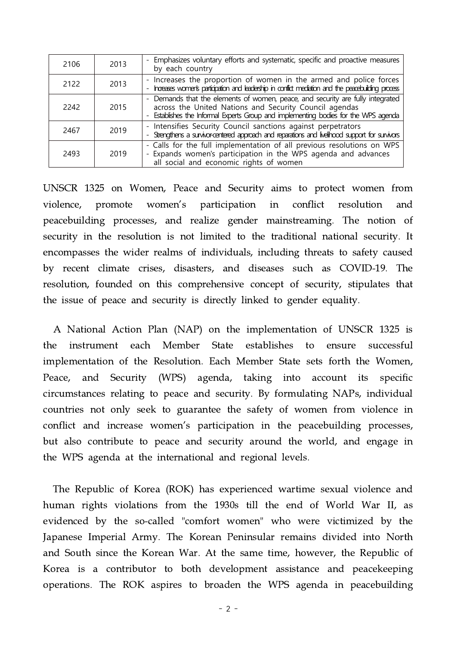| 2106 | 2013 | - Emphasizes voluntary efforts and systematic, specific and proactive measures<br>by each country                                                                                                                               |
|------|------|---------------------------------------------------------------------------------------------------------------------------------------------------------------------------------------------------------------------------------|
| 2122 | 2013 | - Increases the proportion of women in the armed and police forces<br>Ingress women's participation and leadership in conflict mediation and the peacebuliding process<br>$\overline{\phantom{0}}$                              |
| 2242 | 2015 | - Demands that the elements of women, peace, and security are fully integrated<br>across the United Nations and Security Council agendas<br>- Establishes the Informal Experts Group and implementing bodies for the WPS agenda |
| 2467 | 2019 | - Intensifies Security Council sanctions against perpetrators<br>- Strengthens a survior-centered approach and reparations and livelihood support for survivors                                                                 |
| 2493 | 2019 | - Calls for the full implementation of all previous resolutions on WPS<br>- Expands women's participation in the WPS agenda and advances<br>all social and economic rights of women                                             |

UNSCR 1325 on Women, Peace and Security aims to protect women from violence, promote women's participation in conflict resolution and peacebuilding processes, and realize gender mainstreaming. The notion of security in the resolution is not limited to the traditional national security. It encompasses the wider realms of individuals, including threats to safety caused by recent climate crises, disasters, and diseases such as COVID-19. The resolution, founded on this comprehensive concept of security, stipulates that the issue of peace and security is directly linked to gender equality.

A National Action Plan (NAP) on the implementation of UNSCR 1325 is the instrument each Member State establishes to ensure successful implementation of the Resolution. Each Member State sets forth the Women, Peace, and Security (WPS) agenda, taking into account its specific circumstances relating to peace and security. By formulating NAPs, individual countries not only seek to guarantee the safety of women from violence in conflict and increase women's participation in the peacebuilding processes, but also contribute to peace and security around the world, and engage in the WPS agenda at the international and regional levels.

The Republic of Korea (ROK) has experienced wartime sexual violence and human rights violations from the 1930s till the end of World War II, as evidenced by the so-called "comfort women" who were victimized by the Japanese Imperial Army. The Korean Peninsular remains divided into North and South since the Korean War. At the same time, however, the Republic of Korea is a contributor to both development assistance and peacekeeping operations. The ROK aspires to broaden the WPS agenda in peacebuilding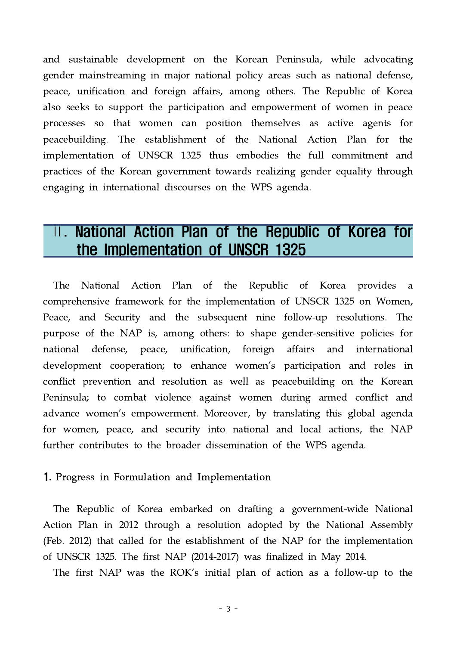and sustainable development on the Korean Peninsula, while advocating gender mainstreaming in major national policy areas such as national defense, peace, unification and foreign affairs, among others. The Republic of Korea also seeks to support the participation and empowerment of women in peace processes so that women can position themselves as active agents for peacebuilding. The establishment of the National Action Plan for the implementation of UNSCR 1325 thus embodies the full commitment and practices of the Korean government towards realizing gender equality through engaging in international discourses on the WPS agenda.

## Ⅱ. National Action Plan of the Republic of Korea for the Implementation of UNSCR 1325

The National Action Plan of the Republic of Korea provides a comprehensive framework for the implementation of UNSCR 1325 on Women, Peace, and Security and the subsequent nine follow-up resolutions. The purpose of the NAP is, among others: to shape gender-sensitive policies for national defense, peace, unification, foreign affairs and international development cooperation; to enhance women's participation and roles in conflict prevention and resolution as well as peacebuilding on the Korean Peninsula; to combat violence against women during armed conflict and advance women's empowerment. Moreover, by translating this global agenda for women, peace, and security into national and local actions, the NAP further contributes to the broader dissemination of the WPS agenda.

#### 1. Progress in Formulation and Implementation

The Republic of Korea embarked on drafting a government-wide National Action Plan in 2012 through a resolution adopted by the National Assembly (Feb. 2012) that called for the establishment of the NAP for the implementation of UNSCR 1325. The first NAP (2014-2017) was finalized in May 2014.

The first NAP was the ROK's initial plan of action as a follow-up to the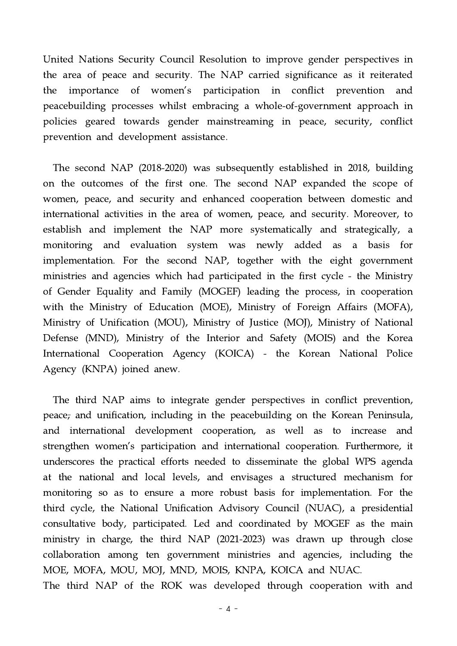United Nations Security Council Resolution to improve gender perspectives in the area of peace and security. The NAP carried significance as it reiterated the importance of women's participation in conflict prevention and peacebuilding processes whilst embracing a whole-of-government approach in policies geared towards gender mainstreaming in peace, security, conflict prevention and development assistance.

The second NAP (2018-2020) was subsequently established in 2018, building on the outcomes of the first one. The second NAP expanded the scope of women, peace, and security and enhanced cooperation between domestic and international activities in the area of women, peace, and security. Moreover, to establish and implement the NAP more systematically and strategically, a monitoring and evaluation system was newly added as a basis for implementation. For the second NAP, together with the eight government ministries and agencies which had participated in the first cycle - the Ministry of Gender Equality and Family (MOGEF) leading the process, in cooperation with the Ministry of Education (MOE), Ministry of Foreign Affairs (MOFA), Ministry of Unification (MOU), Ministry of Justice (MOJ), Ministry of National Defense (MND), Ministry of the Interior and Safety (MOIS) and the Korea International Cooperation Agency (KOICA) - the Korean National Police Agency (KNPA) joined anew.

The third NAP aims to integrate gender perspectives in conflict prevention, peace, and unification, including in the peacebuilding on the Korean Peninsula, and international development cooperation, as well as to increase and strengthen women's participation and international cooperation. Furthermore, it underscores the practical efforts needed to disseminate the global WPS agenda at the national and local levels, and envisages a structured mechanism for monitoring so as to ensure a more robust basis for implementation. For the third cycle, the National Unification Advisory Council (NUAC), a presidential consultative body, participated. Led and coordinated by MOGEF as the main ministry in charge, the third NAP (2021-2023) was drawn up through close collaboration among ten government ministries and agencies, including the MOE, MOFA, MOU, MOJ, MND, MOIS, KNPA, KOICA and NUAC.

The third NAP of the ROK was developed through cooperation with and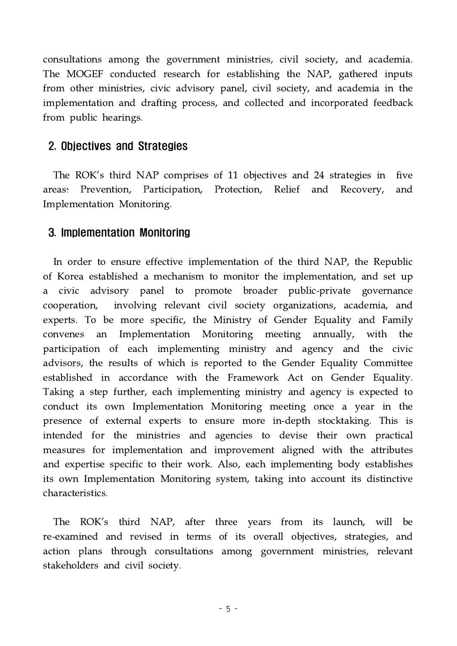consultations among the government ministries, civil society, and academia. The MOGEF conducted research for establishing the NAP, gathered inputs from other ministries, civic advisory panel, civil society, and academia in the implementation and drafting process, and collected and incorporated feedback from public hearings.

#### 2. Objectives and Strategies

The ROK's third NAP comprises of 11 objectives and 24 strategies in five areas: Prevention, Participation, Protection, Relief and Recovery, and Implementation Monitoring.

#### 3. Implementation Monitoring

In order to ensure effective implementation of the third NAP, the Republic of Korea established a mechanism to monitor the implementation, and set up a civic advisory panel to promote broader public-private governance cooperation, involving relevant civil society organizations, academia, and experts. To be more specific, the Ministry of Gender Equality and Family convenes an Implementation Monitoring meeting annually, with the participation of each implementing ministry and agency and the civic advisors, the results of which is reported to the Gender Equality Committee established in accordance with the Framework Act on Gender Equality. Taking a step further, each implementing ministry and agency is expected to conduct its own Implementation Monitoring meeting once a year in the presence of external experts to ensure more in-depth stocktaking. This is intended for the ministries and agencies to devise their own practical measures for implementation and improvement aligned with the attributes and expertise specific to their work. Also, each implementing body establishes its own Implementation Monitoring system, taking into account its distinctive characteristics.

The ROK's third NAP, after three years from its launch, will be re-examined and revised in terms of its overall objectives, strategies, and action plans through consultations among government ministries, relevant stakeholders and civil society.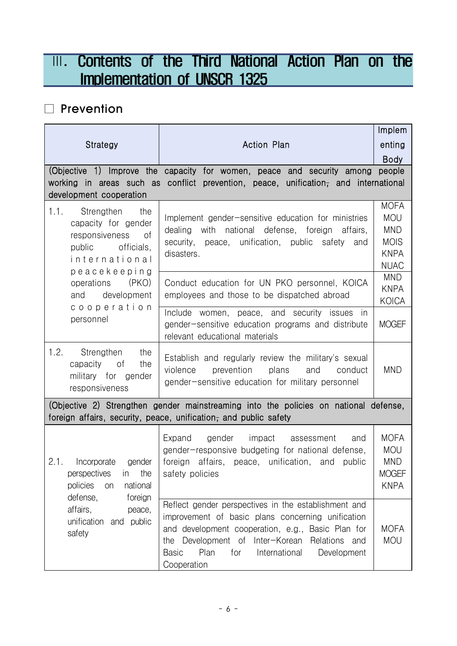# **III. Contents of the Third National Action Plan on the** Implementation of UNSCR 1325

### □ Prevention

|                                                                                                                                                          |                                                                                                                                                                                                                                                                                                     | Implem                                                                               |  |
|----------------------------------------------------------------------------------------------------------------------------------------------------------|-----------------------------------------------------------------------------------------------------------------------------------------------------------------------------------------------------------------------------------------------------------------------------------------------------|--------------------------------------------------------------------------------------|--|
| <b>Strategy</b>                                                                                                                                          | <b>Action Plan</b>                                                                                                                                                                                                                                                                                  | enting                                                                               |  |
|                                                                                                                                                          |                                                                                                                                                                                                                                                                                                     | <b>Body</b>                                                                          |  |
|                                                                                                                                                          | (Objective 1) Improve the capacity for women, peace and security among                                                                                                                                                                                                                              | people                                                                               |  |
| development cooperation                                                                                                                                  | working in areas such as conflict prevention, peace, unification, and international                                                                                                                                                                                                                 |                                                                                      |  |
| 1.1.<br>Strengthen<br>the<br>capacity for gender<br>responsiveness<br>of<br>officials,<br>public<br>international<br>peacekeeping                        | Implement gender-sensitive education for ministries<br>dealing<br>with national defense, foreign affairs,<br>security, peace, unification, public safety and<br>disasters.                                                                                                                          | <b>MOFA</b><br><b>MOU</b><br><b>MND</b><br><b>MOIS</b><br><b>KNPA</b><br><b>NUAC</b> |  |
| (PKO)<br>operations<br>and<br>development                                                                                                                | Conduct education for UN PKO personnel, KOICA<br>employees and those to be dispatched abroad                                                                                                                                                                                                        | <b>MND</b><br><b>KNPA</b><br>KOICA                                                   |  |
| cooperation<br>personnel                                                                                                                                 | Include women, peace, and security issues in<br>gender-sensitive education programs and distribute<br>relevant educational materials                                                                                                                                                                | <b>MOGEF</b>                                                                         |  |
| 1.2.<br>Strengthen<br>the<br>capacity<br>οf<br>the<br>military for gender<br>responsiveness                                                              | Establish and regularly review the military's sexual<br>prevention<br>plans<br>violence<br>and<br>conduct<br>gender-sensitive education for military personnel                                                                                                                                      | <b>MND</b>                                                                           |  |
| (Objective 2) Strengthen gender mainstreaming into the policies on national defense,<br>foreign affairs, security, peace, unification, and public safety |                                                                                                                                                                                                                                                                                                     |                                                                                      |  |
| 2.1.<br>Incorporate<br>gender<br>perspectives<br>the<br>in.<br>policies<br>national<br>on<br>defense,<br>foreign                                         | Expand<br>gender<br>impact<br>assessment<br>and<br>gender-responsive budgeting for national defense,<br>foreign affairs, peace, unification, and public<br>safety policies                                                                                                                          | <b>MOFA</b><br><b>MOU</b><br><b>MND</b><br><b>MOGEF</b><br><b>KNPA</b>               |  |
| affairs,<br>peace,<br>unification<br>and public<br>safety                                                                                                | Reflect gender perspectives in the establishment and<br>improvement of basic plans concerning unification<br>and development cooperation, e.g., Basic Plan for<br>Development of Inter-Korean<br>Relations and<br>the<br><b>Basic</b><br>Plan<br>for<br>International<br>Development<br>Cooperation | <b>MOFA</b><br><b>MOU</b>                                                            |  |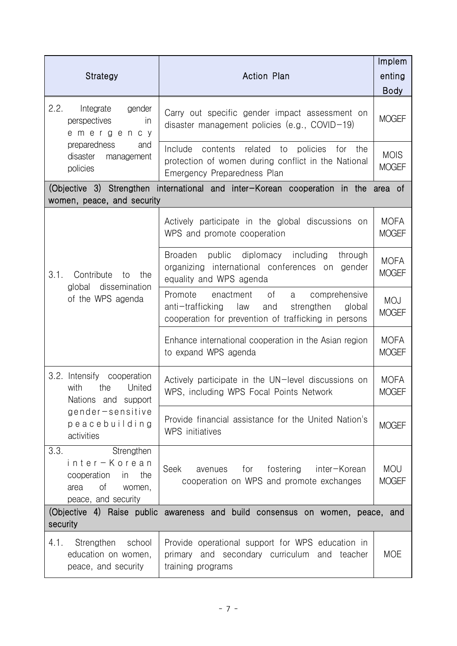|                                                                                                               |                                                                                                                                                                    | Implem                      |
|---------------------------------------------------------------------------------------------------------------|--------------------------------------------------------------------------------------------------------------------------------------------------------------------|-----------------------------|
| <b>Strategy</b>                                                                                               | <b>Action Plan</b>                                                                                                                                                 | enting                      |
|                                                                                                               |                                                                                                                                                                    | <b>Body</b>                 |
| 2.2.<br>Integrate<br>gender<br>perspectives<br><i>in</i><br>emergency                                         | Carry out specific gender impact assessment on<br>disaster management policies (e.g., $COVID-19$ )                                                                 | <b>MOGEF</b>                |
| preparedness<br>and<br>disaster<br>management<br>policies                                                     | Include<br>contents related to policies<br>for the<br>protection of women during conflict in the National<br>Emergency Preparedness Plan                           | <b>MOIS</b><br><b>MOGEF</b> |
| women, peace, and security                                                                                    | (Objective 3) Strengthen international and inter-Korean cooperation in the area of                                                                                 |                             |
|                                                                                                               | Actively participate in the global discussions on<br>WPS and promote cooperation                                                                                   | <b>MOFA</b><br><b>MOGEF</b> |
| 3.1.<br>Contribute<br>the<br>to<br>global dissemination                                                       | Broaden public diplomacy including<br>through<br>organizing international conferences on gender<br>equality and WPS agenda                                         | <b>MOFA</b><br><b>MOGEF</b> |
| of the WPS agenda                                                                                             | Promote<br>comprehensive<br>enactment<br>of<br>a<br>anti-trafficking<br>law<br>and<br>strengthen<br>global<br>cooperation for prevention of trafficking in persons | <b>MOJ</b><br><b>MOGEF</b>  |
|                                                                                                               | Enhance international cooperation in the Asian region<br>to expand WPS agenda                                                                                      | <b>MOFA</b><br><b>MOGEF</b> |
| 3.2. Intensify cooperation<br>United<br>with<br>the<br>Nations and support                                    | Actively participate in the UN-level discussions on<br>WPS, including WPS Focal Points Network                                                                     | <b>MOFA</b><br><b>MOGEF</b> |
| $gender-sensitive$<br>peacebuilding<br>activities                                                             | Provide financial assistance for the United Nation's<br>WPS initiatives                                                                                            | <b>MOGEF</b>                |
| 3.3.<br>Strengthen<br>inter-Korean<br>cooperation<br>the<br>in<br>Οf<br>area<br>women,<br>peace, and security | Seek<br>for<br>fostering<br>inter-Korean<br>avenues<br>cooperation on WPS and promote exchanges                                                                    | <b>MOU</b><br><b>MOGEF</b>  |
| (Objective 4) Raise public awareness and build consensus on women, peace, and<br>security                     |                                                                                                                                                                    |                             |
| 4.1.<br>Strengthen<br>school<br>education on women,<br>peace, and security                                    | Provide operational support for WPS education in<br>primary and secondary curriculum and teacher<br>training programs                                              | <b>MOE</b>                  |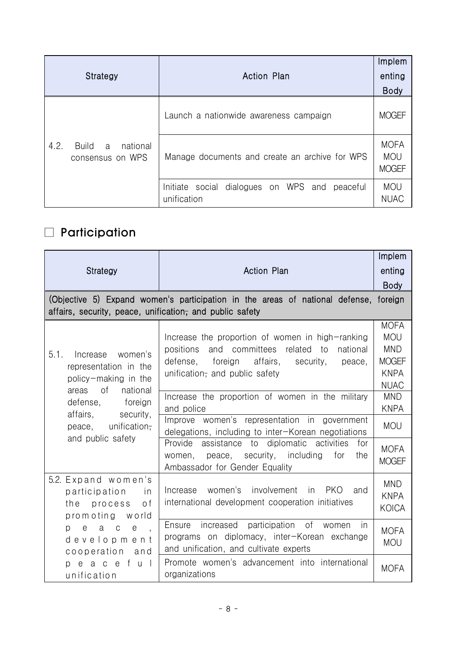|                                                    |                                                                 | Implem                                    |
|----------------------------------------------------|-----------------------------------------------------------------|-------------------------------------------|
| Strategy                                           | <b>Action Plan</b>                                              | enting                                    |
|                                                    |                                                                 | <b>Body</b>                               |
|                                                    | Launch a nationwide awareness campaign                          | <b>MOGEF</b>                              |
| 4.2.<br>Build<br>national<br>a<br>consensus on WPS | Manage documents and create an archive for WPS                  | <b>MOFA</b><br><b>MOU</b><br><b>MOGEF</b> |
|                                                    | Initiate social dialogues on WPS and<br>peaceful<br>unification | <b>MOU</b><br><b>NUAC</b>                 |

# □ Participation

|                                                                                                                                                                                                                    |                                                                                                                                                                                                                                                                                                                                                                                                                                                                                                                              | Implem                                                                                                                                                          |
|--------------------------------------------------------------------------------------------------------------------------------------------------------------------------------------------------------------------|------------------------------------------------------------------------------------------------------------------------------------------------------------------------------------------------------------------------------------------------------------------------------------------------------------------------------------------------------------------------------------------------------------------------------------------------------------------------------------------------------------------------------|-----------------------------------------------------------------------------------------------------------------------------------------------------------------|
| Strategy                                                                                                                                                                                                           | <b>Action Plan</b>                                                                                                                                                                                                                                                                                                                                                                                                                                                                                                           | enting                                                                                                                                                          |
|                                                                                                                                                                                                                    |                                                                                                                                                                                                                                                                                                                                                                                                                                                                                                                              | <b>Body</b>                                                                                                                                                     |
| affairs, security, peace, unification, and public safety                                                                                                                                                           | (Objective 5) Expand women's participation in the areas of national defense, foreign                                                                                                                                                                                                                                                                                                                                                                                                                                         |                                                                                                                                                                 |
| 5.1.<br>women's<br>Increase<br>representation in the<br>policy-making in the<br>of<br>national<br>areas<br>foreign<br>defense,<br>affairs,<br>security,<br>unification <del>,</del><br>peace,<br>and public safety | Increase the proportion of women in high-ranking<br>and committees related<br>positions<br>national<br>to<br>affairs,<br>defense,<br>foreign<br>security,<br>peace,<br>unification- and public safety<br>Increase the proportion of women in the military<br>and police<br>Improve women's representation in government<br>delegations, including to inter-Korean negotiations<br>Provide assistance to diplomatic activities<br>for<br>peace, security, including<br>for<br>women,<br>the<br>Ambassador for Gender Equality | <b>MOFA</b><br><b>MOU</b><br><b>MND</b><br><b>MOGEF</b><br><b>KNPA</b><br><b>NUAC</b><br><b>MND</b><br><b>KNPA</b><br><b>MOU</b><br><b>MOFA</b><br><b>MOGEF</b> |
| 5.2. Expand women's<br>participation<br>in<br>o f<br>the<br>process<br>promoting<br>world                                                                                                                          | women's involvement<br>in PKO<br>Increase<br>and<br>international development cooperation initiatives                                                                                                                                                                                                                                                                                                                                                                                                                        | <b>MND</b><br><b>KNPA</b><br>KOICA                                                                                                                              |
| a c<br>$\boldsymbol{\mathsf{e}}$<br>$\mathsf{e}$<br>p.<br>$\overline{a}$<br>development<br>cooperation<br>and                                                                                                      | participation of women<br>increased<br>Ensure<br>in<br>programs on diplomacy, inter-Korean exchange<br>and unification, and cultivate experts                                                                                                                                                                                                                                                                                                                                                                                | <b>MOFA</b><br><b>MOU</b>                                                                                                                                       |
| peacef<br>u l<br>unification                                                                                                                                                                                       | Promote women's advancement into international<br>organizations                                                                                                                                                                                                                                                                                                                                                                                                                                                              | <b>MOFA</b>                                                                                                                                                     |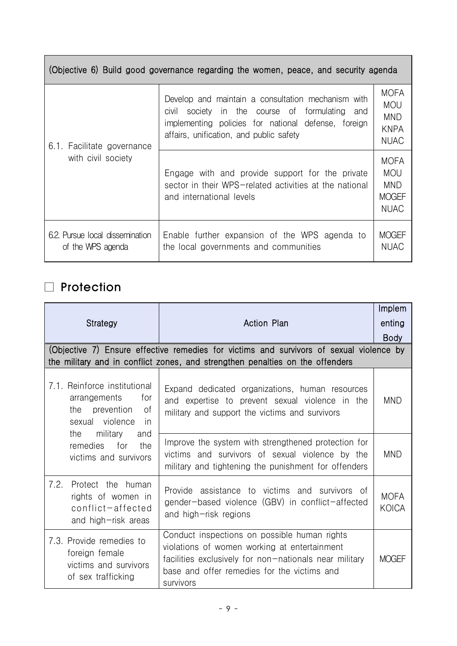| (Objective 6) Build good governance regarding the women, peace, and security agenda |                                                                                                                                                                                                           |                                                                        |
|-------------------------------------------------------------------------------------|-----------------------------------------------------------------------------------------------------------------------------------------------------------------------------------------------------------|------------------------------------------------------------------------|
| 6.1. Facilitate governance                                                          | Develop and maintain a consultation mechanism with<br>society in the course of formulating and<br>civil<br>implementing policies for national defense, foreign<br>affairs, unification, and public safety | <b>MOFA</b><br><b>MOU</b><br><b>MND</b><br><b>KNPA</b><br><b>NUAC</b>  |
| with civil society                                                                  | Engage with and provide support for the private<br>sector in their WPS-related activities at the national<br>and international levels                                                                     | <b>MOFA</b><br><b>MOU</b><br><b>MND</b><br><b>MOGEF</b><br><b>NUAC</b> |
| 6.2 Pursue local dissemination<br>of the WPS agenda                                 | Enable further expansion of the WPS agenda to<br>the local governments and communities                                                                                                                    | <b>MOGEF</b><br><b>NUAC</b>                                            |

### □ Protection

|                                                                                                             |                                                                                                                                                                                                                    | Implem               |
|-------------------------------------------------------------------------------------------------------------|--------------------------------------------------------------------------------------------------------------------------------------------------------------------------------------------------------------------|----------------------|
| Strategy                                                                                                    | <b>Action Plan</b>                                                                                                                                                                                                 | enting               |
|                                                                                                             |                                                                                                                                                                                                                    | <b>Body</b>          |
|                                                                                                             | (Objective 7) Ensure effective remedies for victims and survivors of sexual violence by<br>the military and in conflict zones, and strengthen penalties on the offenders                                           |                      |
| 7.1. Reinforce institutional<br>arrangements<br>for<br>the prevention<br>0f<br>sexual violence<br><i>in</i> | Expand dedicated organizations, human resources<br>and expertise to prevent sexual violence in the<br>military and support the victims and survivors                                                               | MND                  |
| military<br>the<br>and<br>remedies<br>for<br>the<br>victims and survivors                                   | Improve the system with strengthened protection for<br>victims and survivors of sexual violence by the<br>military and tightening the punishment for offenders                                                     | <b>MND</b>           |
| 7.2.<br>Protect the human<br>rights of women in<br>conflict-affected<br>and high-risk areas                 | Provide assistance to victims and survivors of<br>gender-based violence (GBV) in conflict-affected<br>and high-risk regions                                                                                        | <b>MOFA</b><br>KOICA |
| 7.3. Provide remedies to<br>foreign female<br>victims and survivors<br>of sex trafficking                   | Conduct inspections on possible human rights<br>violations of women working at entertainment<br>facilities exclusively for non-nationals near military<br>base and offer remedies for the victims and<br>survivors | <b>MOGEF</b>         |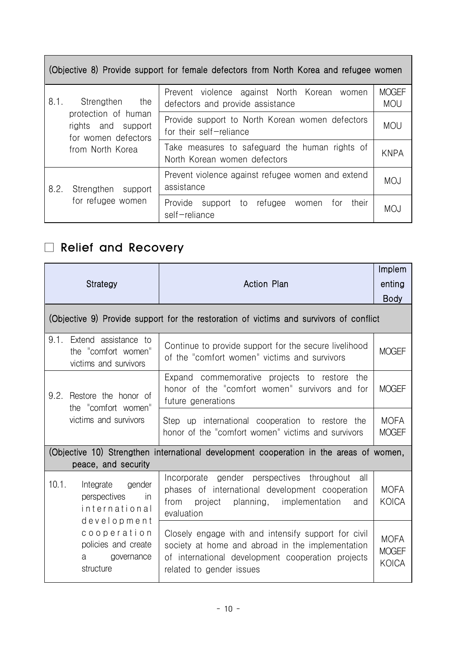|                                                                                                                   | (Objective 8) Provide support for female defectors from North Korea and refugee women |                            |
|-------------------------------------------------------------------------------------------------------------------|---------------------------------------------------------------------------------------|----------------------------|
| 8.1.<br>Strengthen<br>the<br>protection of human<br>rights and support<br>for women defectors<br>from North Korea | Prevent violence against North Korean<br>women<br>defectors and provide assistance    | <b>MOGEF</b><br><b>MOU</b> |
|                                                                                                                   | Provide support to North Korean women defectors<br>for their self-reliance            | <b>MOU</b>                 |
|                                                                                                                   | Take measures to safeguard the human rights of<br>North Korean women defectors        | <b>KNPA</b>                |
| 8.2.<br>Strengthen<br>support                                                                                     | Prevent violence against refugee women and extend<br>assistance                       | <b>MOJ</b>                 |
| for refugee women                                                                                                 | Provide support to<br>their<br>refugee<br>women<br>for<br>self-reliance               | <b>MOJ</b>                 |

 $\mathcal{L}_{\mathcal{A}}$ 

## □ Relief and Recovery

 $\sim 100$ 

|                                                                              | Strategy                                                                                                             | <b>Action Plan</b>                                                                                                                                                                       | Implem<br>enting<br><b>Body</b>             |
|------------------------------------------------------------------------------|----------------------------------------------------------------------------------------------------------------------|------------------------------------------------------------------------------------------------------------------------------------------------------------------------------------------|---------------------------------------------|
|                                                                              |                                                                                                                      | (Objective 9) Provide support for the restoration of victims and survivors of conflict                                                                                                   |                                             |
| 9.1.                                                                         | Extend assistance to<br>the "comfort women"<br>victims and survivors                                                 | Continue to provide support for the secure livelihood<br>of the "comfort women" victims and survivors                                                                                    | <b>MOGEF</b>                                |
| 9.2.<br>Restore the honor of<br>the "comfort women"<br>victims and survivors | Expand commemorative projects to restore the<br>honor of the "comfort women" survivors and for<br>future generations | <b>MOGEF</b>                                                                                                                                                                             |                                             |
|                                                                              |                                                                                                                      | Step up international cooperation to restore the<br>honor of the "comfort women" victims and survivors                                                                                   | <b>MOFA</b><br><b>MOGEF</b>                 |
|                                                                              | peace, and security                                                                                                  | (Objective 10) Strengthen international development cooperation in the areas of women,                                                                                                   |                                             |
| 10.1.<br>Integrate                                                           | gender<br>perspectives<br>in.<br>international<br>development                                                        | Incorporate gender perspectives throughout<br>all<br>phases of international development cooperation<br>from<br>project<br>planning, implementation<br>and<br>evaluation                 | <b>MOFA</b><br><b>KOICA</b>                 |
|                                                                              | cooperation<br>policies and create<br>governance<br>a<br>structure                                                   | Closely engage with and intensify support for civil<br>society at home and abroad in the implementation<br>of international development cooperation projects<br>related to gender issues | <b>MOFA</b><br><b>MOGEF</b><br><b>KOICA</b> |